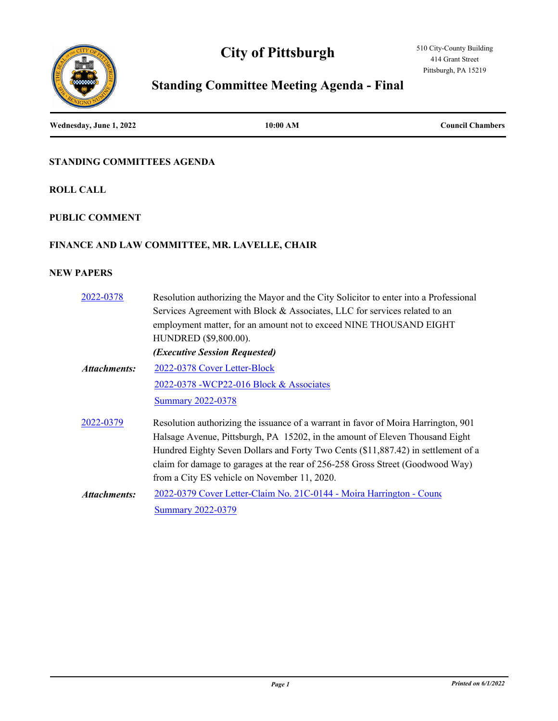# **City of Pittsburgh**





# **Standing Committee Meeting Agenda - Final**

**Wednesday, June 1, 2022 10:00 AM Council Chambers**

## **STANDING COMMITTEES AGENDA**

**ROLL CALL**

## **PUBLIC COMMENT**

## **FINANCE AND LAW COMMITTEE, MR. LAVELLE, CHAIR**

| 2022-0378    | Resolution authorizing the Mayor and the City Solicitor to enter into a Professional<br>Services Agreement with Block & Associates, LLC for services related to an<br>employment matter, for an amount not to exceed NINE THOUSAND EIGHT<br>HUNDRED (\$9,800.00).<br>(Executive Session Requested)                                                                                        |
|--------------|-------------------------------------------------------------------------------------------------------------------------------------------------------------------------------------------------------------------------------------------------------------------------------------------------------------------------------------------------------------------------------------------|
| Attachments: | 2022-0378 Cover Letter-Block                                                                                                                                                                                                                                                                                                                                                              |
|              | 2022-0378 - WCP22-016 Block & Associates                                                                                                                                                                                                                                                                                                                                                  |
|              | <b>Summary 2022-0378</b>                                                                                                                                                                                                                                                                                                                                                                  |
| 2022-0379    | Resolution authorizing the issuance of a warrant in favor of Moira Harrington, 901<br>Halsage Avenue, Pittsburgh, PA 15202, in the amount of Eleven Thousand Eight<br>Hundred Eighty Seven Dollars and Forty Two Cents (\$11,887.42) in settlement of a<br>claim for damage to garages at the rear of 256-258 Gross Street (Goodwood Way)<br>from a City ES vehicle on November 11, 2020. |
| Attachments: | 2022-0379 Cover Letter-Claim No. 21C-0144 - Moira Harrington - Counc                                                                                                                                                                                                                                                                                                                      |
|              | <b>Summary 2022-0379</b>                                                                                                                                                                                                                                                                                                                                                                  |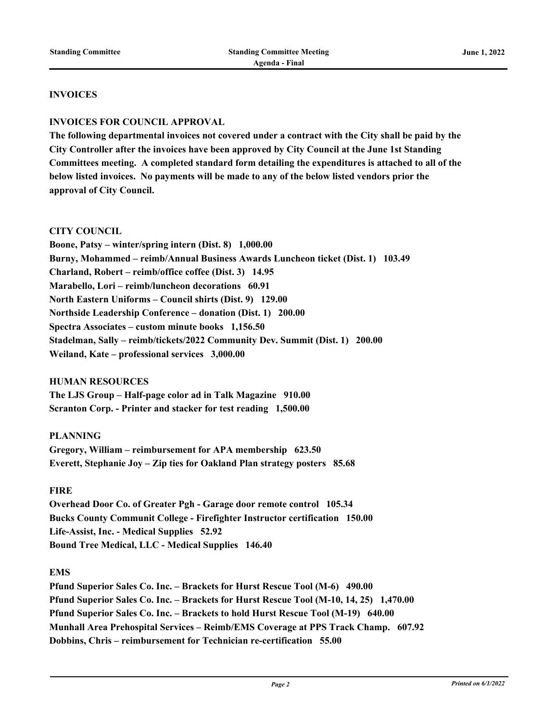#### **INVOICES**

#### **INVOICES FOR COUNCIL APPROVAL**

**The following departmental invoices not covered under a contract with the City shall be paid by the City Controller after the invoices have been approved by City Council at the June 1st Standing Committees meeting. A completed standard form detailing the expenditures is attached to all of the below listed invoices. No payments will be made to any of the below listed vendors prior the approval of City Council.** 

#### **CITY COUNCIL**

**Boone, Patsy – winter/spring intern (Dist. 8) 1,000.00 Burny, Mohammed – reimb/Annual Business Awards Luncheon ticket (Dist. 1) 103.49 Charland, Robert – reimb/office coffee (Dist. 3) 14.95 Marabello, Lori – reimb/luncheon decorations 60.91 North Eastern Uniforms – Council shirts (Dist. 9) 129.00 Northside Leadership Conference – donation (Dist. 1) 200.00 Spectra Associates – custom minute books 1,156.50 Stadelman, Sally – reimb/tickets/2022 Community Dev. Summit (Dist. 1) 200.00 Weiland, Kate – professional services 3,000.00**

#### **HUMAN RESOURCES**

**The LJS Group – Half-page color ad in Talk Magazine 910.00 Scranton Corp. - Printer and stacker for test reading 1,500.00**

#### **PLANNING**

**Gregory, William – reimbursement for APA membership 623.50 Everett, Stephanie Joy – Zip ties for Oakland Plan strategy posters 85.68**

#### **FIRE**

**Overhead Door Co. of Greater Pgh - Garage door remote control 105.34 Bucks County Communit College - Firefighter Instructor certification 150.00 Life-Assist, Inc. - Medical Supplies 52.92 Bound Tree Medical, LLC - Medical Supplies 146.40**

#### **EMS**

**Pfund Superior Sales Co. Inc. – Brackets for Hurst Rescue Tool (M-6) 490.00 Pfund Superior Sales Co. Inc. – Brackets for Hurst Rescue Tool (M-10, 14, 25) 1,470.00 Pfund Superior Sales Co. Inc. – Brackets to hold Hurst Rescue Tool (M-19) 640.00 Munhall Area Prehospital Services – Reimb/EMS Coverage at PPS Track Champ. 607.92 Dobbins, Chris – reimbursement for Technician re-certification 55.00**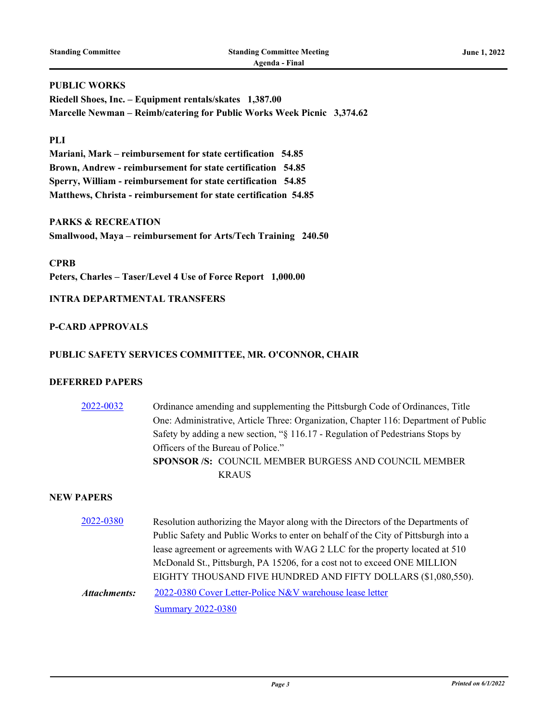## **PUBLIC WORKS**

**Riedell Shoes, Inc. – Equipment rentals/skates 1,387.00 Marcelle Newman – Reimb/catering for Public Works Week Picnic 3,374.62**

#### **PLI**

**Mariani, Mark – reimbursement for state certification 54.85 Brown, Andrew - reimbursement for state certification 54.85 Sperry, William - reimbursement for state certification 54.85 Matthews, Christa - reimbursement for state certification 54.85**

#### **PARKS & RECREATION**

**Smallwood, Maya – reimbursement for Arts/Tech Training 240.50**

**CPRB Peters, Charles – Taser/Level 4 Use of Force Report 1,000.00**

#### **INTRA DEPARTMENTAL TRANSFERS**

## **P-CARD APPROVALS**

#### **PUBLIC SAFETY SERVICES COMMITTEE, MR. O'CONNOR, CHAIR**

#### **DEFERRED PAPERS**

| 2022-0032 | Ordinance amending and supplementing the Pittsburgh Code of Ordinances, Title       |
|-----------|-------------------------------------------------------------------------------------|
|           | One: Administrative, Article Three: Organization, Chapter 116: Department of Public |
|           | Safety by adding a new section, "§ 116.17 - Regulation of Pedestrians Stops by      |
|           | Officers of the Bureau of Police."                                                  |
|           | <b>SPONSOR /S: COUNCIL MEMBER BURGESS AND COUNCIL MEMBER</b>                        |
|           | <b>KRAUS</b>                                                                        |

| 2022-0380           | Resolution authorizing the Mayor along with the Directors of the Departments of    |  |
|---------------------|------------------------------------------------------------------------------------|--|
|                     | Public Safety and Public Works to enter on behalf of the City of Pittsburgh into a |  |
|                     | lease agreement or agreements with WAG 2 LLC for the property located at 510       |  |
|                     | McDonald St., Pittsburgh, PA 15206, for a cost not to exceed ONE MILLION           |  |
|                     | EIGHTY THOUSAND FIVE HUNDRED AND FIFTY DOLLARS (\$1,080,550).                      |  |
| <b>Attachments:</b> | 2022-0380 Cover Letter-Police N&V warehouse lease letter                           |  |
|                     | <b>Summary 2022-0380</b>                                                           |  |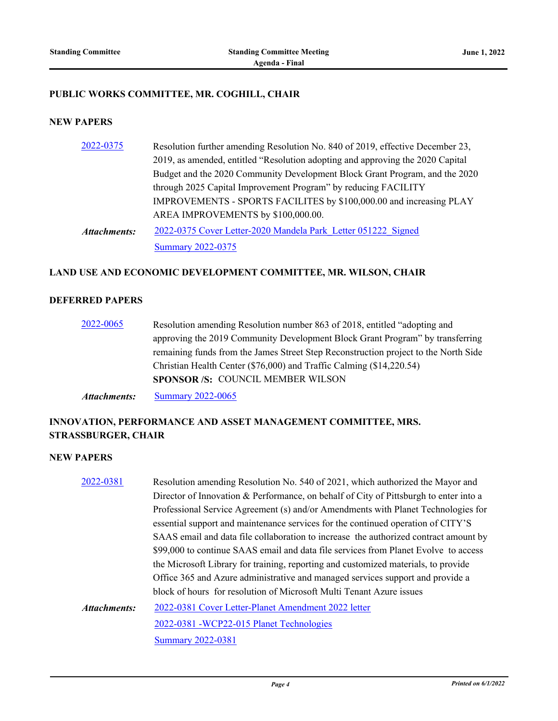#### **PUBLIC WORKS COMMITTEE, MR. COGHILL, CHAIR**

#### **NEW PAPERS**

| 2022-0375    | Resolution further amending Resolution No. 840 of 2019, effective December 23, |
|--------------|--------------------------------------------------------------------------------|
|              | 2019, as amended, entitled "Resolution adopting and approving the 2020 Capital |
|              | Budget and the 2020 Community Development Block Grant Program, and the 2020    |
|              | through 2025 Capital Improvement Program" by reducing FACILITY                 |
|              | IMPROVEMENTS - SPORTS FACILITES by \$100,000.00 and increasing PLAY            |
|              | AREA IMPROVEMENTS by \$100,000.00.                                             |
| Attachments: | 2022-0375 Cover Letter-2020 Mandela Park Letter 051222 Signed                  |
|              | <b>Summary 2022-0375</b>                                                       |

#### **LAND USE AND ECONOMIC DEVELOPMENT COMMITTEE, MR. WILSON, CHAIR**

#### **DEFERRED PAPERS**

[2022-0065](http://pittsburgh.legistar.com/gateway.aspx?m=l&id=/matter.aspx?key=27364) Resolution amending Resolution number 863 of 2018, entitled "adopting and approving the 2019 Community Development Block Grant Program" by transferring remaining funds from the James Street Step Reconstruction project to the North Side Christian Health Center (\$76,000) and Traffic Calming (\$14,220.54) **SPONSOR /S:** COUNCIL MEMBER WILSON

*Attachments:* [Summary 2022-0065](http://pittsburgh.legistar.com/gateway.aspx?M=F&ID=61f71b04-da01-4eef-9ab2-58035195a3f9.docx)

# **INNOVATION, PERFORMANCE AND ASSET MANAGEMENT COMMITTEE, MRS. STRASSBURGER, CHAIR**

| 2022-0381    | Resolution amending Resolution No. 540 of 2021, which authorized the Mayor and        |  |
|--------------|---------------------------------------------------------------------------------------|--|
|              | Director of Innovation & Performance, on behalf of City of Pittsburgh to enter into a |  |
|              | Professional Service Agreement (s) and/or Amendments with Planet Technologies for     |  |
|              | essential support and maintenance services for the continued operation of CITY'S      |  |
|              | SAAS email and data file collaboration to increase the authorized contract amount by  |  |
|              | \$99,000 to continue SAAS email and data file services from Planet Evolve to access   |  |
|              | the Microsoft Library for training, reporting and customized materials, to provide    |  |
|              | Office 365 and Azure administrative and managed services support and provide a        |  |
|              | block of hours for resolution of Microsoft Multi Tenant Azure issues                  |  |
| Attachments: | 2022-0381 Cover Letter-Planet Amendment 2022 letter                                   |  |
|              | 2022-0381 -WCP22-015 Planet Technologies                                              |  |
|              | <b>Summary 2022-0381</b>                                                              |  |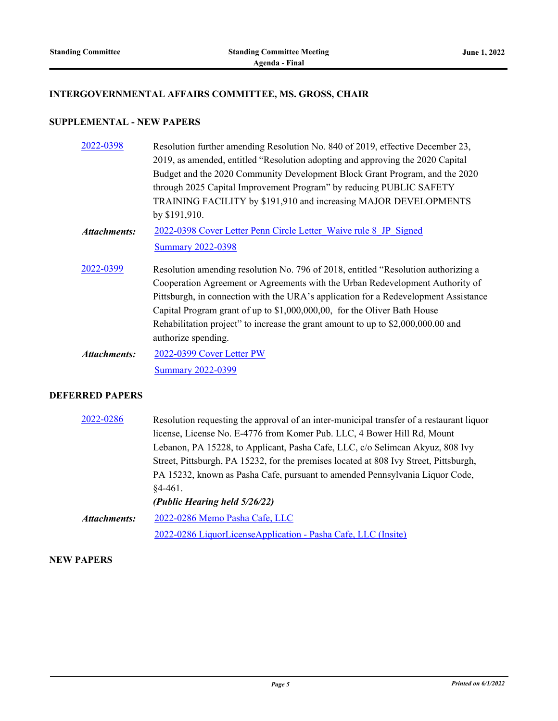# **INTERGOVERNMENTAL AFFAIRS COMMITTEE, MS. GROSS, CHAIR**

# **SUPPLEMENTAL - NEW PAPERS**

| 2022-0398           | Resolution further amending Resolution No. 840 of 2019, effective December 23,      |
|---------------------|-------------------------------------------------------------------------------------|
|                     | 2019, as amended, entitled "Resolution adopting and approving the 2020 Capital      |
|                     | Budget and the 2020 Community Development Block Grant Program, and the 2020         |
|                     | through 2025 Capital Improvement Program" by reducing PUBLIC SAFETY                 |
|                     | TRAINING FACILITY by \$191,910 and increasing MAJOR DEVELOPMENTS                    |
|                     | by \$191,910.                                                                       |
| <b>Attachments:</b> | 2022-0398 Cover Letter Penn Circle Letter Waive rule 8 JP Signed                    |
|                     | <b>Summary 2022-0398</b>                                                            |
| 2022-0399           | Resolution amending resolution No. 796 of 2018, entitled "Resolution authorizing a  |
|                     | Cooperation Agreement or Agreements with the Urban Redevelopment Authority of       |
|                     | Pittsburgh, in connection with the URA's application for a Redevelopment Assistance |
|                     | Capital Program grant of up to \$1,000,000,00, for the Oliver Bath House            |
|                     | Rehabilitation project" to increase the grant amount to up to \$2,000,000.00 and    |
|                     | authorize spending.                                                                 |
| Attachments:        | 2022-0399 Cover Letter PW                                                           |
|                     | <b>Summary 2022-0399</b>                                                            |
|                     |                                                                                     |

## **DEFERRED PAPERS**

| 2022-0286           | Resolution requesting the approval of an inter-municipal transfer of a restaurant liquor |
|---------------------|------------------------------------------------------------------------------------------|
|                     | license, License No. E-4776 from Komer Pub. LLC, 4 Bower Hill Rd, Mount                  |
|                     | Lebanon, PA 15228, to Applicant, Pasha Cafe, LLC, c/o Selimcan Akyuz, 808 Ivy            |
|                     | Street, Pittsburgh, PA 15232, for the premises located at 808 Ivy Street, Pittsburgh,    |
|                     | PA 15232, known as Pasha Cafe, pursuant to amended Pennsylvania Liquor Code,             |
|                     | $§4-461.$                                                                                |
|                     | (Public Hearing held 5/26/22)                                                            |
| <b>Attachments:</b> | 2022-0286 Memo Pasha Cafe, LLC                                                           |
|                     | 2022-0286 LiquorLicenseApplication - Pasha Cafe, LLC (Insite)                            |